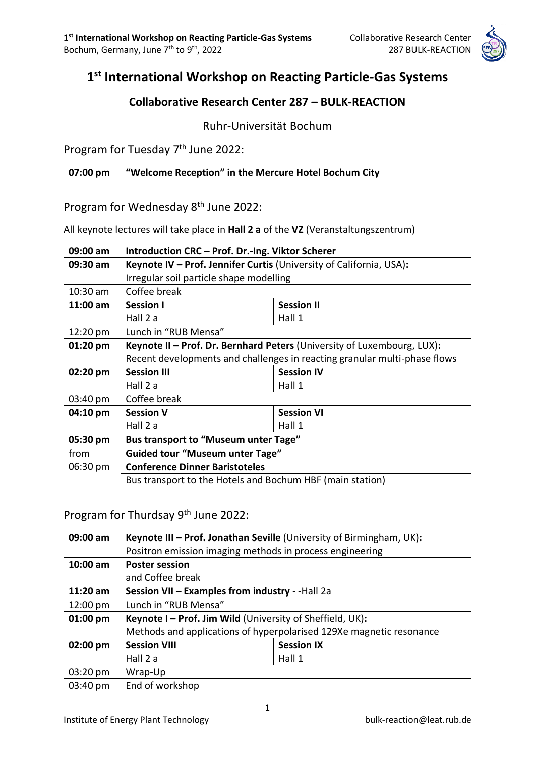

# **1 st International Workshop on Reacting Particle-Gas Systems**

# **Collaborative Research Center 287 – BULK-REACTION**

Ruhr-Universität Bochum

Program for Tuesday 7<sup>th</sup> June 2022:

**07:00 pm "Welcome Reception" in the Mercure Hotel Bochum City**

Program for Wednesday 8<sup>th</sup> June 2022:

All keynote lectures will take place in **Hall 2 a** of the **VZ** (Veranstaltungszentrum)

| 09:00 am   | Introduction CRC - Prof. Dr.-Ing. Viktor Scherer                          |                   |  |
|------------|---------------------------------------------------------------------------|-------------------|--|
| $09:30$ am | Keynote IV - Prof. Jennifer Curtis (University of California, USA):       |                   |  |
|            | Irregular soil particle shape modelling                                   |                   |  |
| $10:30$ am | Coffee break                                                              |                   |  |
| $11:00$ am | <b>Session I</b>                                                          | <b>Session II</b> |  |
|            | Hall 2 a                                                                  | Hall 1            |  |
| 12:20 pm   | Lunch in "RUB Mensa"                                                      |                   |  |
| $01:20$ pm | Keynote II - Prof. Dr. Bernhard Peters (University of Luxembourg, LUX):   |                   |  |
|            | Recent developments and challenges in reacting granular multi-phase flows |                   |  |
| 02:20 pm   | <b>Session III</b>                                                        | <b>Session IV</b> |  |
|            | Hall 2 a                                                                  | Hall 1            |  |
| 03:40 pm   | Coffee break                                                              |                   |  |
| 04:10 pm   | <b>Session V</b>                                                          | <b>Session VI</b> |  |
|            | Hall 2 a                                                                  | Hall 1            |  |
| 05:30 pm   | <b>Bus transport to "Museum unter Tage"</b>                               |                   |  |
| from       | <b>Guided tour "Museum unter Tage"</b>                                    |                   |  |
| 06:30 pm   | <b>Conference Dinner Baristoteles</b>                                     |                   |  |
|            | Bus transport to the Hotels and Bochum HBF (main station)                 |                   |  |

Program for Thurdsay 9th June 2022:

| 09:00 am           | Keynote III - Prof. Jonathan Seville (University of Birmingham, UK): |                   |  |
|--------------------|----------------------------------------------------------------------|-------------------|--|
|                    | Positron emission imaging methods in process engineering             |                   |  |
| $10:00$ am         | <b>Poster session</b>                                                |                   |  |
|                    | and Coffee break                                                     |                   |  |
| $11:20$ am         | Session VII - Examples from industry - -Hall 2a                      |                   |  |
| $12:00 \text{ pm}$ | Lunch in "RUB Mensa"                                                 |                   |  |
| $01:00$ pm         | Keynote I - Prof. Jim Wild (University of Sheffield, UK):            |                   |  |
|                    | Methods and applications of hyperpolarised 129Xe magnetic resonance  |                   |  |
| 02:00 pm           | <b>Session VIII</b>                                                  | <b>Session IX</b> |  |
|                    | Hall 2 a                                                             | Hall 1            |  |
| 03:20 pm           | Wrap-Up                                                              |                   |  |
| 03:40 pm           | End of workshop                                                      |                   |  |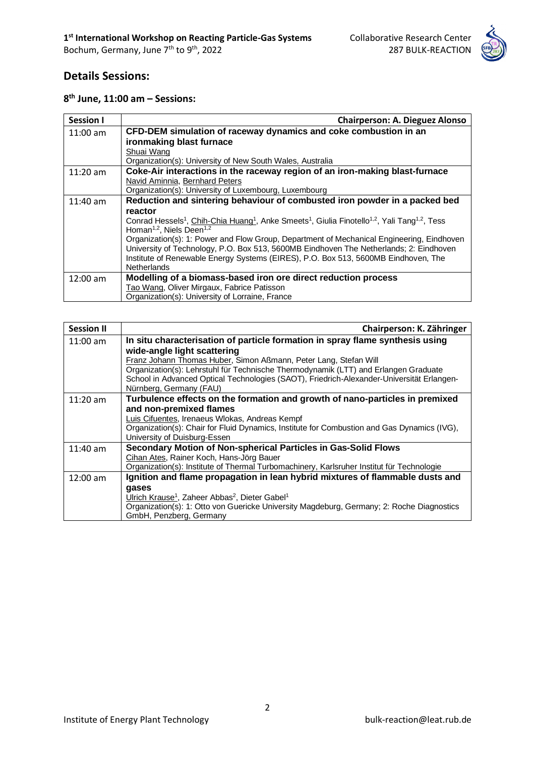

# **Details Sessions:**

|  |  |  |  | $8th$ June, 11:00 am - Sessions: |
|--|--|--|--|----------------------------------|
|--|--|--|--|----------------------------------|

| <b>Session I</b>                                                                                    | <b>Chairperson: A. Dieguez Alonso</b>                                                     |  |
|-----------------------------------------------------------------------------------------------------|-------------------------------------------------------------------------------------------|--|
| $11:00 \text{ am}$                                                                                  | CFD-DEM simulation of raceway dynamics and coke combustion in an                          |  |
|                                                                                                     | ironmaking blast furnace                                                                  |  |
|                                                                                                     | Shuai Wang                                                                                |  |
|                                                                                                     | Organization(s): University of New South Wales, Australia                                 |  |
| $11:20$ am                                                                                          | Coke-Air interactions in the raceway region of an iron-making blast-furnace               |  |
|                                                                                                     | Navid Aminnia, Bernhard Peters                                                            |  |
|                                                                                                     | Organization(s): University of Luxembourg, Luxembourg                                     |  |
| Reduction and sintering behaviour of combusted iron powder in a packed bed<br>$11:40$ am<br>reactor |                                                                                           |  |
|                                                                                                     |                                                                                           |  |
|                                                                                                     | Organization(s): 1: Power and Flow Group, Department of Mechanical Engineering, Eindhoven |  |
|                                                                                                     | University of Technology, P.O. Box 513, 5600MB Eindhoven The Netherlands; 2: Eindhoven    |  |
|                                                                                                     | Institute of Renewable Energy Systems (EIRES), P.O. Box 513, 5600MB Eindhoven, The        |  |
|                                                                                                     | <b>Netherlands</b>                                                                        |  |
| $12:00 \text{ am}$                                                                                  | Modelling of a biomass-based iron ore direct reduction process                            |  |
|                                                                                                     | Tao Wang, Oliver Mirgaux, Fabrice Patisson                                                |  |
|                                                                                                     | Organization(s): University of Lorraine, France                                           |  |

| <b>Session II</b>  | Chairperson: K. Zähringer                                                                                                                                                                                                                                                                                                                                                                       |
|--------------------|-------------------------------------------------------------------------------------------------------------------------------------------------------------------------------------------------------------------------------------------------------------------------------------------------------------------------------------------------------------------------------------------------|
| $11:00$ am         | In situ characterisation of particle formation in spray flame synthesis using<br>wide-angle light scattering<br>Franz Johann Thomas Huber, Simon Aßmann, Peter Lang, Stefan Will<br>Organization(s): Lehrstuhl für Technische Thermodynamik (LTT) and Erlangen Graduate<br>School in Advanced Optical Technologies (SAOT), Friedrich-Alexander-Universität Erlangen-<br>Nürnberg, Germany (FAU) |
| $11:20$ am         | Turbulence effects on the formation and growth of nano-particles in premixed<br>and non-premixed flames<br>Luis Cifuentes, Irenaeus Wlokas, Andreas Kempf<br>Organization(s): Chair for Fluid Dynamics, Institute for Combustion and Gas Dynamics (IVG),<br>University of Duisburg-Essen                                                                                                        |
| $11:40$ am         | Secondary Motion of Non-spherical Particles in Gas-Solid Flows<br>Cihan Ates, Rainer Koch, Hans-Jörg Bauer<br>Organization(s): Institute of Thermal Turbomachinery, Karlsruher Institut für Technologie                                                                                                                                                                                         |
| $12:00 \text{ am}$ | Ignition and flame propagation in lean hybrid mixtures of flammable dusts and<br>qases<br>Ulrich Krause <sup>1</sup> , Zaheer Abbas <sup>2</sup> , Dieter Gabel <sup>1</sup><br>Organization(s): 1: Otto von Guericke University Magdeburg, Germany; 2: Roche Diagnostics<br>GmbH, Penzberg, Germany                                                                                            |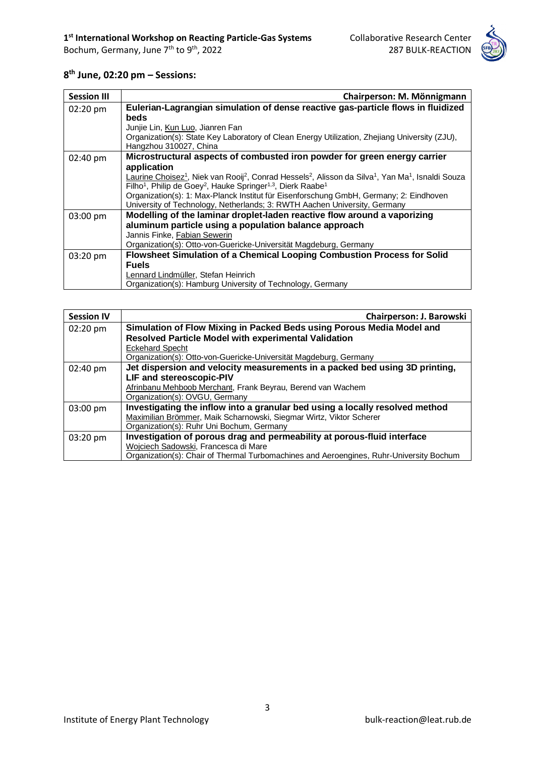

#### **8 th June, 02:20 pm – Sessions:**

| <b>Session III</b> | Chairperson: M. Mönnigmann                                                                                                                                     |  |
|--------------------|----------------------------------------------------------------------------------------------------------------------------------------------------------------|--|
| 02:20 pm           | Eulerian-Lagrangian simulation of dense reactive gas-particle flows in fluidized                                                                               |  |
|                    | <b>beds</b>                                                                                                                                                    |  |
|                    | Junjie Lin, Kun Luo, Jianren Fan                                                                                                                               |  |
|                    | Organization(s): State Key Laboratory of Clean Energy Utilization, Zhejiang University (ZJU),                                                                  |  |
|                    | Hangzhou 310027, China                                                                                                                                         |  |
| $02:40 \text{ pm}$ | Microstructural aspects of combusted iron powder for green energy carrier<br>application                                                                       |  |
|                    | Laurine Choisez <sup>1</sup> , Niek van Rooij <sup>2</sup> , Conrad Hessels <sup>2</sup> , Alisson da Silva <sup>1</sup> , Yan Ma <sup>1</sup> , Isnaldi Souza |  |
|                    | Filho <sup>1</sup> , Philip de Goey <sup>2</sup> , Hauke Springer <sup>1,3</sup> , Dierk Raabe <sup>1</sup>                                                    |  |
|                    | Organization(s): 1: Max-Planck Institut für Eisenforschung GmbH, Germany; 2: Eindhoven                                                                         |  |
|                    | University of Technology, Netherlands; 3: RWTH Aachen University, Germany                                                                                      |  |
| 03:00 pm           | Modelling of the laminar droplet-laden reactive flow around a vaporizing                                                                                       |  |
|                    | aluminum particle using a population balance approach                                                                                                          |  |
|                    | Jannis Finke, Fabian Sewerin                                                                                                                                   |  |
|                    | Organization(s): Otto-von-Guericke-Universität Magdeburg, Germany                                                                                              |  |
| 03:20 pm           | Flowsheet Simulation of a Chemical Looping Combustion Process for Solid                                                                                        |  |
|                    | <b>Fuels</b>                                                                                                                                                   |  |
|                    | Lennard Lindmüller, Stefan Heinrich                                                                                                                            |  |
|                    | Organization(s): Hamburg University of Technology, Germany                                                                                                     |  |

| <b>Session IV</b> | Chairperson: J. Barowski                                                                |  |
|-------------------|-----------------------------------------------------------------------------------------|--|
| 02:20 pm          | Simulation of Flow Mixing in Packed Beds using Porous Media Model and                   |  |
|                   | <b>Resolved Particle Model with experimental Validation</b>                             |  |
|                   | <b>Eckehard Specht</b>                                                                  |  |
|                   | Organization(s): Otto-von-Guericke-Universität Magdeburg, Germany                       |  |
| 02:40 pm          | Jet dispersion and velocity measurements in a packed bed using 3D printing,             |  |
|                   | <b>LIF and stereoscopic-PIV</b>                                                         |  |
|                   | Afrinbanu Mehboob Merchant, Frank Beyrau, Berend van Wachem                             |  |
|                   | Organization(s): OVGU, Germany                                                          |  |
| 03:00 pm          | Investigating the inflow into a granular bed using a locally resolved method            |  |
|                   | Maximilian Brömmer, Maik Scharnowski, Siegmar Wirtz, Viktor Scherer                     |  |
|                   | Organization(s): Ruhr Uni Bochum, Germany                                               |  |
| 03:20 pm          | Investigation of porous drag and permeability at porous-fluid interface                 |  |
|                   | Wojciech Sadowski, Francesca di Mare                                                    |  |
|                   | Organization(s): Chair of Thermal Turbomachines and Aeroengines, Ruhr-University Bochum |  |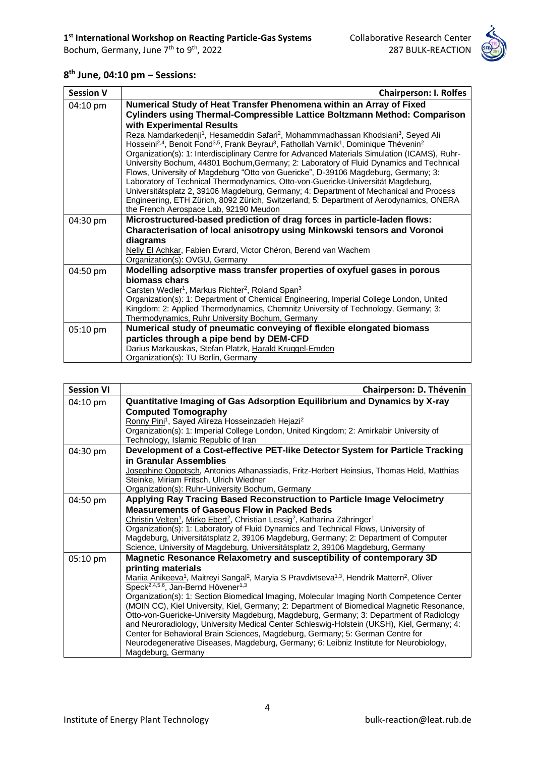

#### **8 th June, 04:10 pm – Sessions:**

| <b>Session V</b> | <b>Chairperson: I. Rolfes</b>                                                                                                                                                                                                                                                                                                                                                                                                                                                                                                                                                                                                                                                                                                                                                                                                                                                                                                                                                                                                                                     |
|------------------|-------------------------------------------------------------------------------------------------------------------------------------------------------------------------------------------------------------------------------------------------------------------------------------------------------------------------------------------------------------------------------------------------------------------------------------------------------------------------------------------------------------------------------------------------------------------------------------------------------------------------------------------------------------------------------------------------------------------------------------------------------------------------------------------------------------------------------------------------------------------------------------------------------------------------------------------------------------------------------------------------------------------------------------------------------------------|
| 04:10 pm         | Numerical Study of Heat Transfer Phenomena within an Array of Fixed<br>Cylinders using Thermal-Compressible Lattice Boltzmann Method: Comparison<br>with Experimental Results<br>Reza Namdarkedenji <sup>1</sup> , Hesameddin Safari <sup>2</sup> , Mohammmadhassan Khodsiani <sup>3</sup> , Seyed Ali<br>Hosseini <sup>2,4</sup> , Benoit Fond <sup>3,5</sup> , Frank Beyrau <sup>3</sup> , Fathollah Varnik <sup>1</sup> , Dominique Thévenin <sup>2</sup><br>Organization(s): 1: Interdisciplinary Centre for Advanced Materials Simulation (ICAMS), Ruhr-<br>University Bochum, 44801 Bochum, Germany; 2: Laboratory of Fluid Dynamics and Technical<br>Flows, University of Magdeburg "Otto von Guericke", D-39106 Magdeburg, Germany; 3:<br>Laboratory of Technical Thermodynamics, Otto-von-Guericke-Universität Magdeburg,<br>Universitätsplatz 2, 39106 Magdeburg, Germany; 4: Department of Mechanical and Process<br>Engineering, ETH Zürich, 8092 Zürich, Switzerland; 5: Department of Aerodynamics, ONERA<br>the French Aerospace Lab, 92190 Meudon |
| 04:30 pm         | Microstructured-based prediction of drag forces in particle-laden flows:<br>Characterisation of local anisotropy using Minkowski tensors and Voronoi<br>diagrams<br>Nelly El Achkar, Fabien Evrard, Victor Chéron, Berend van Wachem<br>Organization(s): OVGU, Germany                                                                                                                                                                                                                                                                                                                                                                                                                                                                                                                                                                                                                                                                                                                                                                                            |
| 04:50 pm         | Modelling adsorptive mass transfer properties of oxyfuel gases in porous<br>biomass chars<br>Carsten Wedler <sup>1</sup> , Markus Richter <sup>2</sup> , Roland Span <sup>3</sup><br>Organization(s): 1: Department of Chemical Engineering, Imperial College London, United<br>Kingdom; 2: Applied Thermodynamics, Chemnitz University of Technology, Germany; 3:<br>Thermodynamics, Ruhr University Bochum, Germany                                                                                                                                                                                                                                                                                                                                                                                                                                                                                                                                                                                                                                             |
| 05:10 pm         | Numerical study of pneumatic conveying of flexible elongated biomass<br>particles through a pipe bend by DEM-CFD<br>Darius Markauskas, Stefan Platzk, Harald Kruggel-Emden<br>Organization(s): TU Berlin, Germany                                                                                                                                                                                                                                                                                                                                                                                                                                                                                                                                                                                                                                                                                                                                                                                                                                                 |

| <b>Session VI</b> | Chairperson: D. Thévenin                                                                                                                                 |
|-------------------|----------------------------------------------------------------------------------------------------------------------------------------------------------|
| 04:10 pm          | Quantitative Imaging of Gas Adsorption Equilibrium and Dynamics by X-ray                                                                                 |
|                   | <b>Computed Tomography</b>                                                                                                                               |
|                   | Ronny Pini <sup>1</sup> , Sayed Alireza Hosseinzadeh Hejazi <sup>2</sup>                                                                                 |
|                   | Organization(s): 1: Imperial College London, United Kingdom; 2: Amirkabir University of                                                                  |
|                   | Technology, Islamic Republic of Iran                                                                                                                     |
| 04:30 pm          | Development of a Cost-effective PET-like Detector System for Particle Tracking<br>in Granular Assemblies                                                 |
|                   |                                                                                                                                                          |
|                   | Josephine Oppotsch, Antonios Athanassiadis, Fritz-Herbert Heinsius, Thomas Held, Matthias<br>Steinke, Miriam Fritsch, Ulrich Wiedner                     |
|                   | Organization(s): Ruhr-University Bochum, Germany                                                                                                         |
| 04:50 pm          | Applying Ray Tracing Based Reconstruction to Particle Image Velocimetry                                                                                  |
|                   | <b>Measurements of Gaseous Flow in Packed Beds</b>                                                                                                       |
|                   | Christin Velten <sup>1</sup> , Mirko Ebert <sup>2</sup> , Christian Lessig <sup>2</sup> , Katharina Zähringer <sup>1</sup>                               |
|                   | Organization(s): 1: Laboratory of Fluid Dynamics and Technical Flows, University of                                                                      |
|                   | Magdeburg, Universitätsplatz 2, 39106 Magdeburg, Germany; 2: Department of Computer                                                                      |
|                   | Science, University of Magdeburg, Universitätsplatz 2, 39106 Magdeburg, Germany                                                                          |
| 05:10 pm          | Magnetic Resonance Relaxometry and susceptibility of contemporary 3D                                                                                     |
|                   | printing materials                                                                                                                                       |
|                   | Mariia Anikeeva <sup>1</sup> , Maitreyi Sangal <sup>2</sup> , Maryia S Pravdivtseva <sup>1,3</sup> , Hendrik Mattern <sup>2</sup> , Oliver               |
|                   | Speck <sup>2,4,5,6</sup> , Jan-Bernd Hövener <sup>1,3</sup><br>Organization(s): 1: Section Biomedical Imaging, Molecular Imaging North Competence Center |
|                   | (MOIN CC), Kiel University, Kiel, Germany; 2: Department of Biomedical Magnetic Resonance,                                                               |
|                   | Otto-von-Guericke-University Magdeburg, Magdeburg, Germany; 3: Department of Radiology                                                                   |
|                   | and Neuroradiology, University Medical Center Schleswig-Holstein (UKSH), Kiel, Germany; 4:                                                               |
|                   | Center for Behavioral Brain Sciences, Magdeburg, Germany; 5: German Centre for                                                                           |
|                   | Neurodegenerative Diseases, Magdeburg, Germany; 6: Leibniz Institute for Neurobiology,                                                                   |
|                   | Magdeburg, Germany                                                                                                                                       |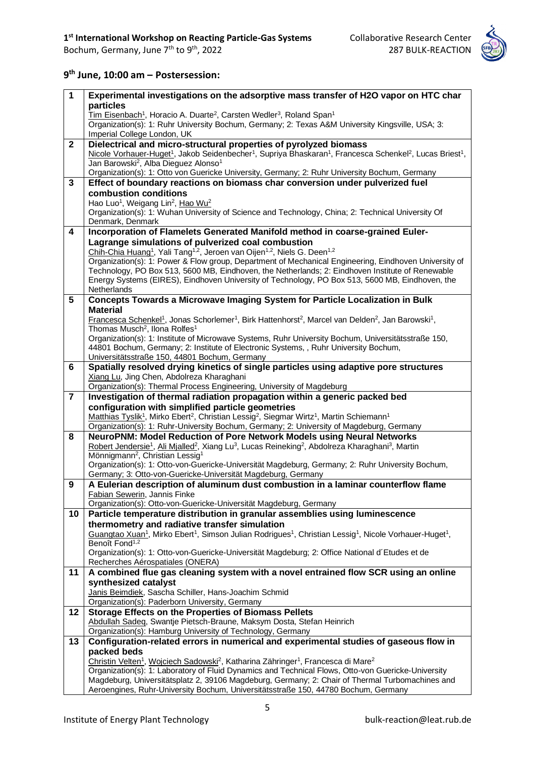

### **9 th June, 10:00 am – Postersession:**

| $\mathbf{1}$    | Experimental investigations on the adsorptive mass transfer of H2O vapor on HTC char                                                                                                                                    |
|-----------------|-------------------------------------------------------------------------------------------------------------------------------------------------------------------------------------------------------------------------|
|                 | particles                                                                                                                                                                                                               |
|                 | Tim Eisenbach <sup>1</sup> , Horacio A. Duarte <sup>2</sup> , Carsten Wedler <sup>3</sup> , Roland Span <sup>1</sup>                                                                                                    |
|                 | Organization(s): 1: Ruhr University Bochum, Germany; 2: Texas A&M University Kingsville, USA; 3:                                                                                                                        |
|                 | Imperial College London, UK                                                                                                                                                                                             |
| $\mathbf{2}$    | Dielectrical and micro-structural properties of pyrolyzed biomass                                                                                                                                                       |
|                 | Nicole Vorhauer-Huget <sup>1</sup> , Jakob Seidenbecher <sup>1</sup> , Supriya Bhaskaran <sup>1</sup> , Francesca Schenkel <sup>2</sup> , Lucas Briest <sup>1</sup> ,                                                   |
|                 | Jan Barowski <sup>2</sup> , Alba Dieguez Alonso <sup>1</sup>                                                                                                                                                            |
|                 | Organization(s): 1: Otto von Guericke University, Germany; 2: Ruhr University Bochum, Germany                                                                                                                           |
| 3               | Effect of boundary reactions on biomass char conversion under pulverized fuel                                                                                                                                           |
|                 | combustion conditions                                                                                                                                                                                                   |
|                 | Hao Luo <sup>1</sup> , Weigang Lin <sup>2</sup> , Hao Wu <sup>2</sup><br>Organization(s): 1: Wuhan University of Science and Technology, China; 2: Technical University Of                                              |
|                 | Denmark, Denmark                                                                                                                                                                                                        |
| 4               | Incorporation of Flamelets Generated Manifold method in coarse-grained Euler-                                                                                                                                           |
|                 | Lagrange simulations of pulverized coal combustion                                                                                                                                                                      |
|                 | Chih-Chia Huang <sup>1</sup> , Yali Tang <sup>1,2</sup> , Jeroen van Oijen <sup>1,2</sup> , Niels G. Deen <sup>1,2</sup>                                                                                                |
|                 | Organization(s): 1: Power & Flow group, Department of Mechanical Engineering, Eindhoven University of                                                                                                                   |
|                 | Technology, PO Box 513, 5600 MB, Eindhoven, the Netherlands; 2: Eindhoven Institute of Renewable                                                                                                                        |
|                 | Energy Systems (EIRES), Eindhoven University of Technology, PO Box 513, 5600 MB, Eindhoven, the                                                                                                                         |
|                 | Netherlands                                                                                                                                                                                                             |
| $5\phantom{.0}$ | Concepts Towards a Microwave Imaging System for Particle Localization in Bulk                                                                                                                                           |
|                 | <b>Material</b>                                                                                                                                                                                                         |
|                 | Francesca Schenkel <sup>1</sup> , Jonas Schorlemer <sup>1</sup> , Birk Hattenhorst <sup>2</sup> , Marcel van Delden <sup>2</sup> , Jan Barowski <sup>1</sup> ,                                                          |
|                 | Thomas Musch <sup>2</sup> , Ilona Rolfes <sup>1</sup>                                                                                                                                                                   |
|                 | Organization(s): 1: Institute of Microwave Systems, Ruhr University Bochum, Universitätsstraße 150,                                                                                                                     |
|                 | 44801 Bochum, Germany; 2: Institute of Electronic Systems, , Ruhr University Bochum,                                                                                                                                    |
|                 | Universitätsstraße 150, 44801 Bochum, Germany                                                                                                                                                                           |
| 6               | Spatially resolved drying kinetics of single particles using adaptive pore structures                                                                                                                                   |
|                 | Xiang Lu, Jing Chen, Abdolreza Kharaghani                                                                                                                                                                               |
| $\overline{7}$  | Organization(s): Thermal Process Engineering, University of Magdeburg<br>Investigation of thermal radiation propagation within a generic packed bed                                                                     |
|                 |                                                                                                                                                                                                                         |
|                 |                                                                                                                                                                                                                         |
|                 | configuration with simplified particle geometries                                                                                                                                                                       |
|                 | Matthias Tyslik <sup>1</sup> , Mirko Ebert <sup>2</sup> , Christian Lessig <sup>2</sup> , Siegmar Wirtz <sup>1</sup> , Martin Schiemann <sup>1</sup>                                                                    |
|                 | Organization(s): 1: Ruhr-University Bochum, Germany; 2: University of Magdeburg, Germany                                                                                                                                |
| 8               | NeuroPNM: Model Reduction of Pore Network Models using Neural Networks                                                                                                                                                  |
|                 | Robert Jendersie <sup>1</sup> , Ali Mjalled <sup>2</sup> , Xiang Lu <sup>3</sup> , Lucas Reineking <sup>2</sup> , Abdolreza Kharaghani <sup>3</sup> , Martin<br>Mönnigmann <sup>2</sup> , Christian Lessig <sup>1</sup> |
|                 | Organization(s): 1: Otto-von-Guericke-Universität Magdeburg, Germany; 2: Ruhr University Bochum,                                                                                                                        |
|                 | Germany; 3: Otto-von-Guericke-Universität Magdeburg, Germany                                                                                                                                                            |
| 9               | A Eulerian description of aluminum dust combustion in a laminar counterflow flame                                                                                                                                       |
|                 | Fabian Sewerin, Jannis Finke                                                                                                                                                                                            |
|                 | Organization(s): Otto-von-Guericke-Universität Magdeburg, Germany                                                                                                                                                       |
| 10              | Particle temperature distribution in granular assemblies using luminescence                                                                                                                                             |
|                 | thermometry and radiative transfer simulation                                                                                                                                                                           |
|                 | Guangtao Xuan <sup>1</sup> , Mirko Ebert <sup>1</sup> , Simson Julian Rodrigues <sup>1</sup> , Christian Lessig <sup>1</sup> , Nicole Vorhauer-Huget <sup>1</sup> ,                                                     |
|                 | Benoît Fond <sup>1,2</sup>                                                                                                                                                                                              |
|                 | Organization(s): 1: Otto-von-Guericke-Universität Magdeburg; 2: Office National d'Etudes et de                                                                                                                          |
| 11              | Recherches Aérospatiales (ONERA)                                                                                                                                                                                        |
|                 | A combined flue gas cleaning system with a novel entrained flow SCR using an online                                                                                                                                     |
|                 | synthesized catalyst                                                                                                                                                                                                    |
|                 | Janis Beimdiek, Sascha Schiller, Hans-Joachim Schmid                                                                                                                                                                    |
| 12              | Organization(s): Paderborn University, Germany                                                                                                                                                                          |
|                 | <b>Storage Effects on the Properties of Biomass Pellets</b><br>Abdullah Sadeq, Swantje Pietsch-Braune, Maksym Dosta, Stefan Heinrich                                                                                    |
|                 | Organization(s): Hamburg University of Technology, Germany                                                                                                                                                              |
| 13              | Configuration-related errors in numerical and experimental studies of gaseous flow in                                                                                                                                   |
|                 | packed beds                                                                                                                                                                                                             |
|                 | Christin Velten <sup>1</sup> , Wojciech Sadowski <sup>2</sup> , Katharina Zähringer <sup>1</sup> , Francesca di Mare <sup>2</sup>                                                                                       |
|                 | Organization(s): 1: Laboratory of Fluid Dynamics and Technical Flows, Otto-von Guericke-University                                                                                                                      |
|                 | Magdeburg, Universitätsplatz 2, 39106 Magdeburg, Germany; 2: Chair of Thermal Turbomachines and<br>Aeroengines, Ruhr-University Bochum, Universitätsstraße 150, 44780 Bochum, Germany                                   |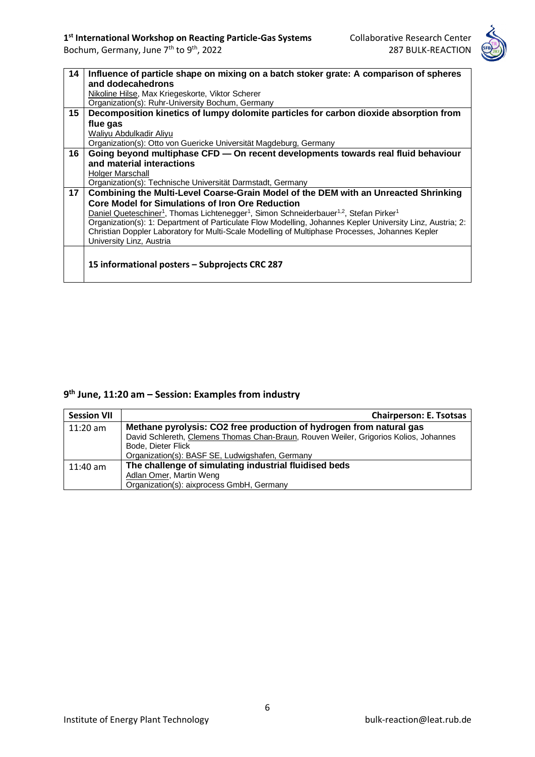

| 14 | Influence of particle shape on mixing on a batch stoker grate: A comparison of spheres                                                 |  |
|----|----------------------------------------------------------------------------------------------------------------------------------------|--|
|    | and dodecahedrons                                                                                                                      |  |
|    | Nikoline Hilse, Max Kriegeskorte, Viktor Scherer                                                                                       |  |
|    | Organization(s): Ruhr-University Bochum, Germany                                                                                       |  |
| 15 | Decomposition kinetics of lumpy dolomite particles for carbon dioxide absorption from                                                  |  |
|    | flue gas                                                                                                                               |  |
|    | Waliyu Abdulkadir Aliyu                                                                                                                |  |
|    | Organization(s): Otto von Guericke Universität Magdeburg, Germany                                                                      |  |
| 16 | Going beyond multiphase CFD - On recent developments towards real fluid behaviour                                                      |  |
|    | and material interactions                                                                                                              |  |
|    | Holger Marschall                                                                                                                       |  |
|    | Organization(s): Technische Universität Darmstadt, Germany                                                                             |  |
| 17 | Combining the Multi-Level Coarse-Grain Model of the DEM with an Unreacted Shrinking                                                    |  |
|    | <b>Core Model for Simulations of Iron Ore Reduction</b>                                                                                |  |
|    | Daniel Queteschiner <sup>1</sup> , Thomas Lichtenegger <sup>1</sup> , Simon Schneiderbauer <sup>1,2</sup> , Stefan Pirker <sup>1</sup> |  |
|    | Organization(s): 1: Department of Particulate Flow Modelling, Johannes Kepler University Linz, Austria; 2:                             |  |
|    | Christian Doppler Laboratory for Multi-Scale Modelling of Multiphase Processes, Johannes Kepler                                        |  |
|    | University Linz, Austria                                                                                                               |  |
|    |                                                                                                                                        |  |
|    | 15 informational posters - Subprojects CRC 287                                                                                         |  |
|    |                                                                                                                                        |  |
|    |                                                                                                                                        |  |

### **9 th June, 11:20 am – Session: Examples from industry**

| <b>Session VII</b> | <b>Chairperson: E. Tsotsas</b>                                                        |  |
|--------------------|---------------------------------------------------------------------------------------|--|
| $11:20$ am         | Methane pyrolysis: CO2 free production of hydrogen from natural gas                   |  |
|                    | David Schlereth, Clemens Thomas Chan-Braun, Rouven Weiler, Grigorios Kolios, Johannes |  |
|                    | Bode, Dieter Flick                                                                    |  |
|                    | Organization(s): BASF SE, Ludwigshafen, Germany                                       |  |
| $11:40$ am         | The challenge of simulating industrial fluidised beds                                 |  |
|                    | Adlan Omer, Martin Weng                                                               |  |
|                    | Organization(s): aixprocess GmbH, Germany                                             |  |